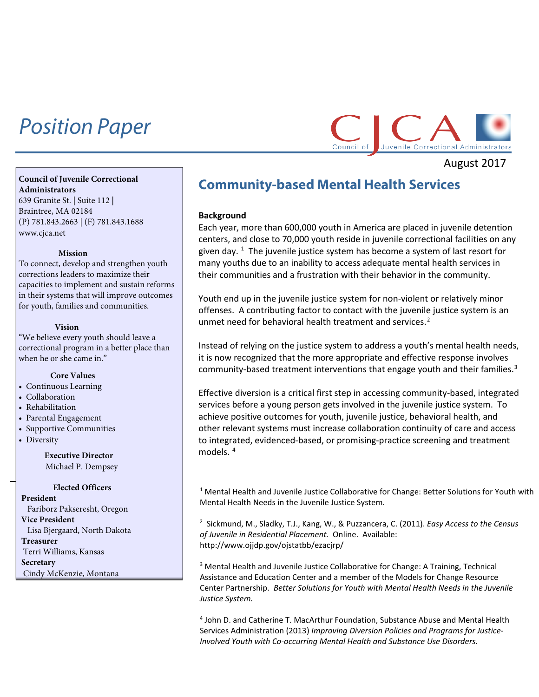# *Position Paper*



August 2017

#### **Council of Juvenile Correctional Administrators** 639 Granite St. | Suite 112 |

Braintree, MA 02184 (P) 781.843.2663 | (F) 781.843.1688 [www.cjca.net](http://www.cjca.net/)

#### **Mission**

To connect, develop and strengthen youth corrections leaders to maximize their capacities to implement and sustain reforms in their systems that will improve outcomes for youth, families and communities.

#### **Vision**

"We believe every youth should leave a correctional program in a better place than when he or she came in."

# **Core Values**

- Continuous Learning
- Collaboration
- Rehabilitation
- Parental Engagement
- Supportive Communities
- Diversity

## **Executive Director** Michael P. Dempsey

#### **Elected Officers**

<span id="page-0-3"></span><span id="page-0-2"></span><span id="page-0-1"></span><span id="page-0-0"></span>**President** Fariborz Pakseresht, Oregon **Vice President** Lisa Bjergaard, North Dakota **Treasurer** Terri Williams, Kansas **Secretary** Cindy McKenzie, Montana

# **Community-based Mental Health Services**

### **Background**

Each year, more than 600,000 youth in America are placed in juvenile detention centers, and close to 70,000 youth reside in juvenile correctional facilities on any given day.  $^1$  $^1$  The juvenile justice system has become a system of last resort for many youths due to an inability to access adequate mental health services in their communities and a frustration with their behavior in the community.

Youth end up in the juvenile justice system for non-violent or relatively minor offenses. A contributing factor to contact with the juvenile justice system is an unmet need for behavioral health treatment and services.<sup>[2](#page-0-1)</sup>

Instead of relying on the justice system to address a youth's mental health needs, it is now recognized that the more appropriate and effective response involves community-based treatment interventions that engage youth and their families. $3$ 

Effective diversion is a critical first step in accessing community-based, integrated services before a young person gets involved in the juvenile justice system. To achieve positive outcomes for youth, juvenile justice, behavioral health, and other relevant systems must increase collaboration continuity of care and access to integrated, evidenced-based, or promising-practice screening and treatment models. [4](#page-0-3)

 $1$  Mental Health and Juvenile Justice Collaborative for Change: Better Solutions for Youth with Mental Health Needs in the Juvenile Justice System.

2 Sickmund, M., Sladky, T.J., Kang, W., & Puzzancera, C. (2011). *Easy Access to the Census of Juvenile in Residential Placement.* Online. Available: http://www.ojjdp.gov/ojstatbb/ezacjrp/

<sup>3</sup> Mental Health and Juvenile Justice Collaborative for Change: A Training, Technical Assistance and Education Center and a member of the Models for Change Resource Center Partnership. *Better Solutions for Youth with Mental Health Needs in the Juvenile Justice System.*

<sup>4</sup> John D. and Catherine T. MacArthur Foundation, Substance Abuse and Mental Health Services Administration (2013) *Improving Diversion Policies and Programs for Justice-Involved Youth with Co-occurring Mental Health and Substance Use Disorders.*